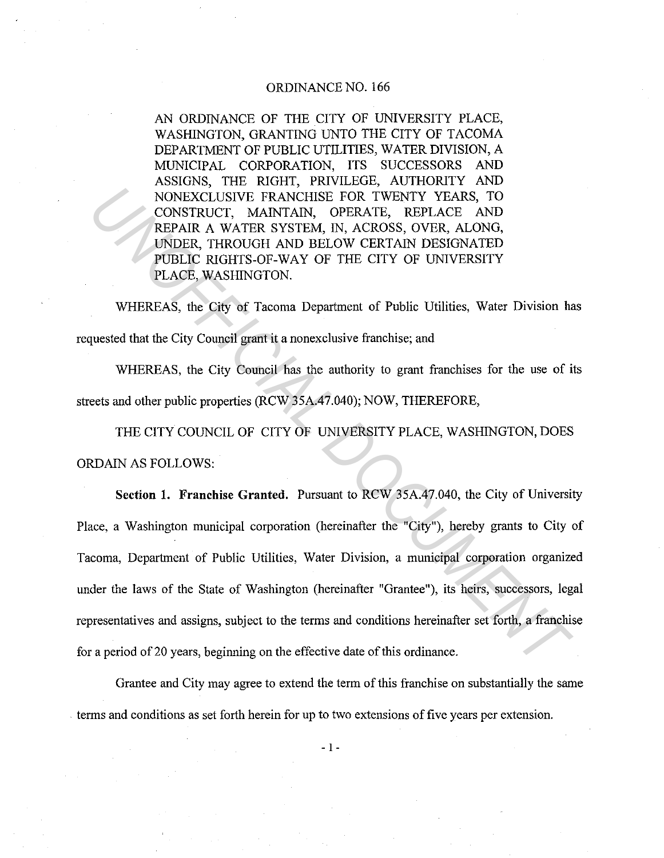## ORDINANCE NO. 166

AN ORDINANCE OF THE CITY OF UNIVERSITY PLACE, WASHINGTON, GRANTING UNTO THE CITY OF TACOMA DEPARTMENT OF PUBLIC UTILITIES, WATER DIVISION, A MUNICIPAL CORPORATION, ITS SUCCESSORS AND ASSIGNS, THE RIGHT, PRIVILEGE, AUTHORITY AND NONEXCLUSIVE FRANCHISE FOR TWENTY YEARS, TO CONSTRUCT, MAINTAIN, OPERATE, REPLACE AND REPAIR A WATER SYSTEM, IN, ACROSS, OVER, ALONG, UNDER, THROUGH AND BELOW CERTAIN DESIGNATED PUBLIC RIGHTS-OF-WAY OF THE CITY OF UNIVERSITY PLACE, WASHINGTON.

WHEREAS, the City of Tacoma Department of Public Utilities, Water Division has requested that the City Council grant it a nonexclusive franchise; and

WHEREAS, the City Council has the authority to grant franchises for the use of its streets and other public properties (RCW 35A.47.040); NOW, THEREFORE,

THE CITY COUNCIL OF CITY OF UNIVERSITY PLACE, WASHINGTON, DOES ORDAIN AS FOLLOWS:

**Section 1. Franchise Granted.** Pursuant to RCW 35A.47.040, the City of University Place, a Washington municipal corporation (hereinafter the "City"), hereby grants to City of Tacoma, Department of Public Utilities, Water Division, a municipal corporation organized under the laws of the State of Washington (hereinafter "Grantee"), its heirs, successors, legal representatives and assigns, subject to the terms and conditions hereinafter set forth, a franchise for a period of 20 years, beginning on the effective date of this ordinance. **NONEXCLUSIVE FRANCHISE FOR TWENTY YEARS, TO**<br>
CONSTRUCT, MAINTAIN, OPERATE, REPLACE AND<br> **EFFAIR A WATER SYSTEM, IN, ACROSS, OVER, ALONG,**<br> **UNDER, THROUGH AND BELOW CERTAIN DESIGNATED**<br> **PUBLIC RIGHTS OF WAY OF THE CITY** 

Grantee and City may agree to extend the term of this franchise on substantially the same . terms and conditions as set forth herein for up to two extensions of five years per extension.

- I -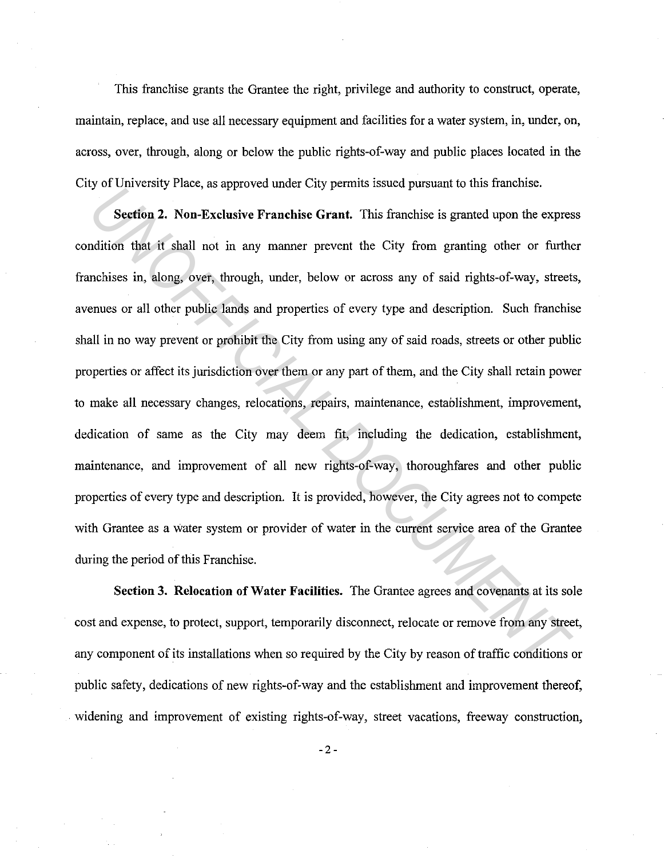This franchise grants the Grantee the right, privilege and authority to construct, operate, maintain, replace, and use all necessary equipment and facilities for a water system, in, under, on, across, over, through, along or below the public rights-of-way and public places located in the City of University Place, as approved under City permits issued pursuant to this franchise.

**Section 2. Non-Exclusive Franchise Grant.** This franchise is granted upon the express condition that it shall not in any manner prevent the City from granting other or further franchises in, along, over, through, under, below or across any of said rights-of-way, streets, avenues or all other public lands and properties of every type and description. Such franchise shall in no way prevent or prohibit the City from using any of said roads, streets or other public properties or affect its jurisdiction over them or any part of them, and the City shall retain power to make all necessary changes, relocations, repairs, maintenance, establishment, improvement, dedication of same as the City may deem fit, including the dedication, establishment, maintenance, and improvement of all new rights-of-way, thoroughfares and other public properties of every type and description. It is provided, however, the City agrees not to compete with Grantee as a water system or provider of water in the current service area of the Grantee during the period of this Franchise. *US CONFIGURAL TRACET CONFIGURATE:* This franchise is granted upon the expression that it shall not in any manner prevent fie Girant. This franchise is granted upon the expression that it shall not in any manner prevent th

**Section 3. Relocation of Water Facilities.** The Grantee agrees and covenants at its sole cost and expense, to protect, support, temporarily disconnect, relocate or remove from any street, any component of its installations when so required by the City by reason of traffic conditions or public safety, dedications of new rights-of-way and the establishment and improvement thereof, widening and improvement of existing rights-of-way, street vacations, freeway construction,

 $-2-$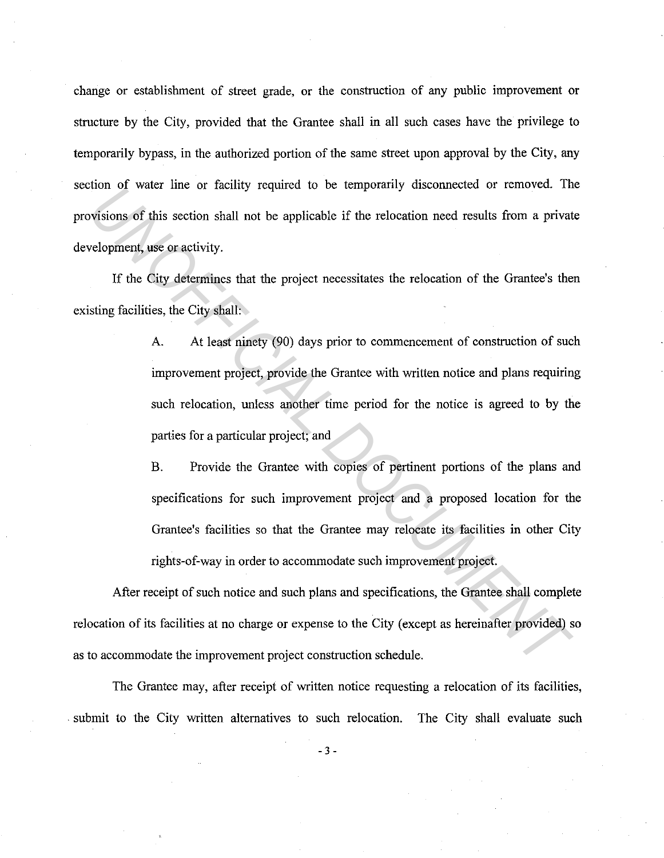change or establishment of street grade, or the construction of any public improvement or structure by the City, provided that the Grantee shall in all such cases have the privilege to temporarily bypass, in the authorized portion of the same street upon approval by the City, any section of water line or facility required to be temporarily disconnected or removed. The provisions of this section shall not be applicable if the relocation need results from a private development, use or activity.

If the City determines that the project necessitates the relocation of the Grantee's then existing facilities, the City shall:

A. At least ninety (90) days prior to commencement of construction of such improvement project, provide the Grantee with written notice and plans requiring such relocation, unless another time period for the notice is agreed to by the parties for a particular project; and France of a sample of a setting tequited to be emposizing disconnected of function. The discrete of the setting of this section shall not be applicable if the relocation need results from a private eleopment, use or activi

B. Provide the Grantee with copies of pertinent portions of the plans and specifications for such improvement project and a proposed location for the Grantee's facilities so that the Grantee may relocate its facilities in other City rights-of-way in order to accommodate such improvement project.

After receipt of such notice and such plans and specifications, the Grantee shall complete relocation of its facilities at no charge or expense to the City (except as hereinafter provided) so as to accommodate the improvement project construction schedule.

The Grantee may, after receipt of written notice requesting a relocation of its facilities, . submit to the City written alternatives to such relocation. The City shall evaluate such

- 3 -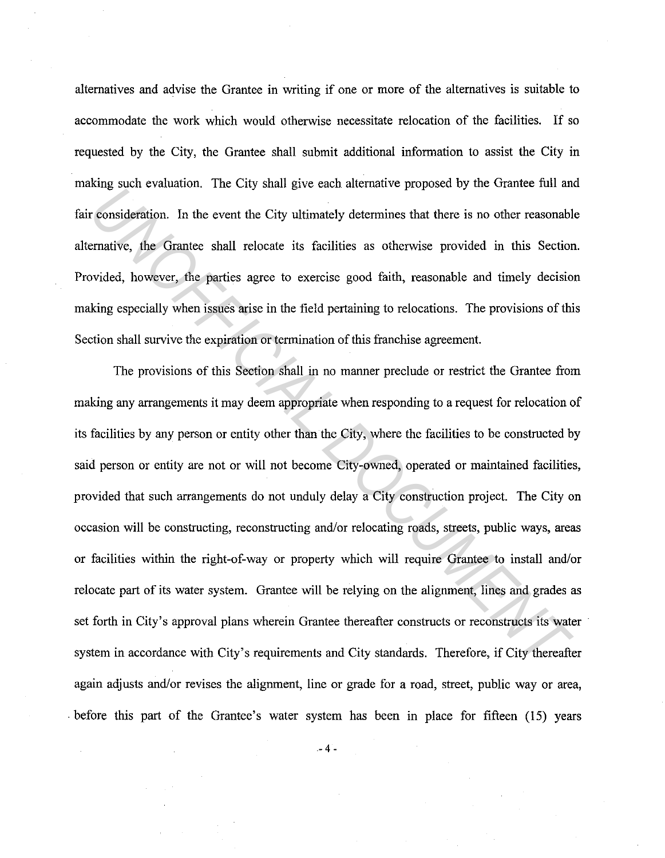alternatives and advise the Grantee in writing if one or more of the alternatives is suitable to accommodate the work which would otherwise necessitate relocation of the facilities. If so requested by the City, the Grantee shall submit additional information to assist the City in making such evaluation. The City shall give each alternative proposed by the Grantee full and fair consideration. In the event the City ultimately determines that there is no other reasonable alternative, the Grantee shall relocate its facilities as otherwise provided in this Section. Provided, however, the parties agree to exercise good faith, reasonable and timely decision making especially when issues arise in the field pertaining to relocations. The provisions of this Section shall survive the expiration or termination of this franchise agreement.

The provisions of this Section shall in no manner preclude or restrict the Grantee from making any arrangements it may deem appropriate when responding to a request for relocation of its facilities by any person or entity other than the City, where the facilities to be constructed by said person or entity are not or will not become City-owned, operated or maintained facilities, provided that such arrangements do not unduly delay a City construction project. The City on occasion will be constructing, reconstructing and/or relocating roads, streets, public ways, areas or facilities within the right-of-way or property which will require Grantee to install and/or relocate part of its water system. Grantee will be relying on the alignment, lines and grades as set forth in City's approval plans wherein Grantee thereafter constructs or reconstructs its water system in accordance with City's requirements and City standards. Therefore, if City thereafter again adjusts and/or revises the alignment, line or grade for a road, street, public way or area, . before this part of the Grantee's water system has been in place for fifteen (15) years *Understand to the CH3 mand give cach anchana tv proposed by are standed to an anchangementally contract to the City ultimately determines that there is no other reasonable matrice, the Grantec shall relocate its facilitie* 

 $-4 -$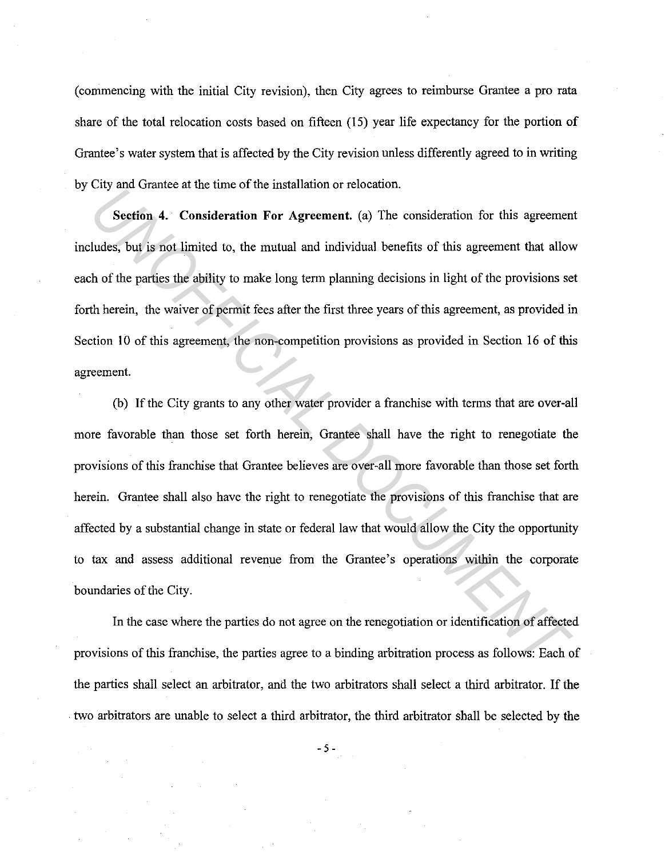(commencing with the initial City revision), then City agrees to reimburse Grantee a pro rata share of the total relocation costs based on fifteen (15) year life expectancy for the portion of Grantee's water system that is affected by the City revision unless differently agreed to in writing by City and Grantee at the time of the installation or relocation.

**Section 4. Consideration For Agreement.** (a) The consideration for this agreement includes, but is not limited to, the mutual and individual benefits of this agreement that allow each of the parties the ability to make long term planning decisions in light of the provisions set forth herein, the waiver of permit fees after the first three years of this agreement, as provided in Section 10 of this agreement, the non-competition provisions as provided in Section 16 of this agreement.

(b) If the City grants to any other water provider a franchise with terms that are over-all more favorable than those set forth herein, Grantee shall have the right to renegotiate the provisions of this franchise that Grantee believes are over-all more favorable than those set forth herein. Grantee shall also have the right to renegotiate the provisions of this franchise that are affected by a substantial change in state or federal law that would allow the City the opportunity to tax and assess additional revenue from the Grantee's operations within the corporate boundaries of the City. **Example 20** and strange at the time of the Instantation of relocation.<br> **Section 4.** Consideration For Agreement. (a) The consideration for this agreement that allow<br>
the bearties the ability to make long term planning de

In the case where the parties do not agree on the renegotiation or identification of affected provisions of this franchise, the parties agree to a binding arbitration process as follows: Each of the parties shall select an arbitrator, and the two arbitrators shall select a third arbitrator. If the . two arbitrators are unable to select a third arbitrator, the third arbitrator shall be selected by the

-5-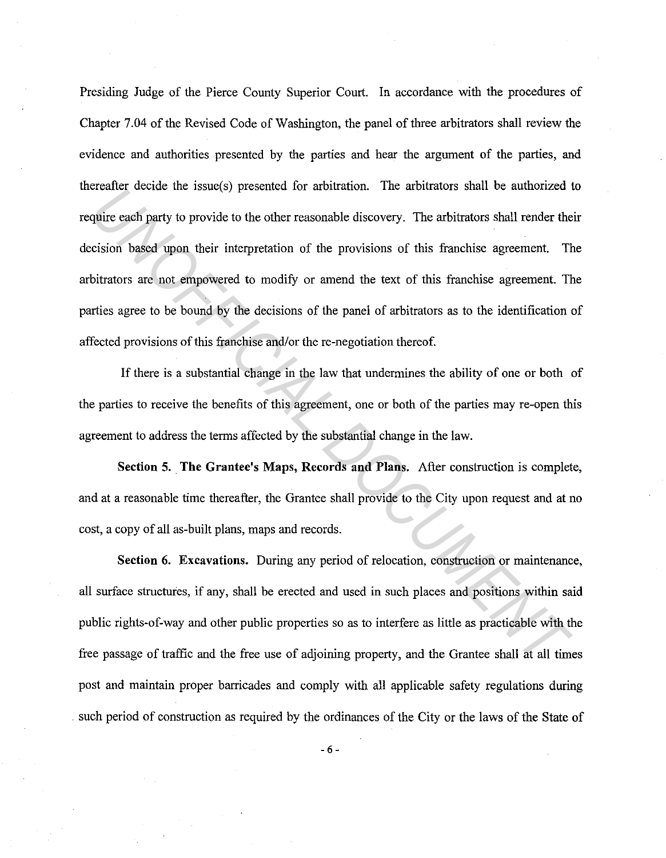Presiding Judge of the Pierce County Superior Court. In accordance with the procedures of Chapter 7.04 of the Revised Code of Washington, the panel of three arbitrators shall review the evidence and authorities presented by the parties and hear the argument of the parties, and thereafter decide the issue( s) presented for arbitration. The arbitrators shall be authorized to require each party to provide to the other reasonable discovery. The arbitrators shall render their decision based upon their interpretation of the provisions of this franchise agreement. The arbitrators are not empowered to modify or amend the text of this franchise agreement. The parties agree to be bound by the decisions of the panel of arbitrators as to the identification of affected provisions of this franchise and/or the re-negotiation thereof. *UNOFFICIAL DOCUMENT*

If there is a substantial change in the law that undermines the ability of one or both of the parties to receive the benefits of this agreement, one or both of the parties may re-open this agreement to address the terms affected by the substantial change in the law.

**Section 5. The Grantee's Maps, Records and Plans.** After construction is complete, and at a reasonable time thereafter, the Grantee shall provide to the City upon request and at no cost, a copy of all as-built plans, maps and records.

**Section 6. Excavations.** During any period of relocation, construction or maintenance, all surface structures, if any, shall be erected and used in such places and positions within said public rights-of-way and other public properties so as to interfere as little as practicable with the free passage of traffic and the free use of adjoining property, and the Grantee shall at all times post and maintain proper barricades and comply with all applicable safety regulations during . such period of construction as required by the ordinances of the City or the laws of the State of

- 6 -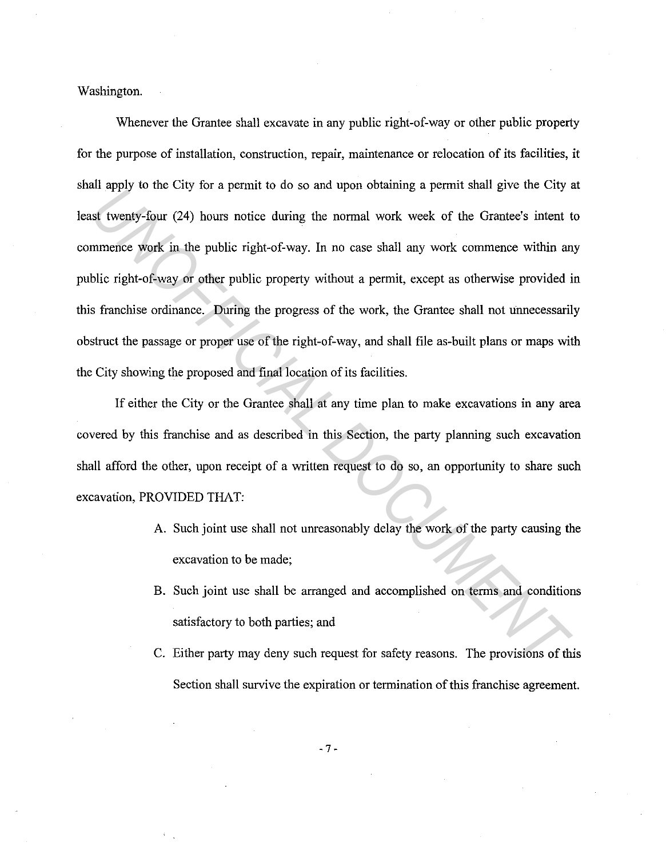Washington.

Whenever the Grantee shall excavate in any public right-of-way or other public property for the purpose of installation, construction, repair, maintenance or relocation of its facilities, it shall apply to the City for a permit to do so and upon obtaining a permit shall give the City at least twenty-four (24) hours notice during the normal work week of the Grantee's intent to commence work in the public right-of-way. In no case shall any work commence within any public right-of-way or other public property without a permit, except as otherwise provided in this franchise ordinance. During the progress of the work, the Grantee shall not unnecessarily obstruct the passage or proper use of the right-of-way, and shall file as-built plans or maps with the City showing the proposed and final location of its facilities. *UN* apply to the City for a pentit of the so and upon cotating a pentit state give the City of streamble to the solution and in the public right-of-way. In no case shall any work commence within an blic right-of-way or ot

If either the City or the Grantee shall at any time plan to make excavations in any area covered by this franchise and as described in this Section, the party planning such excavation shall afford the other, upon receipt of a written request to do so, an opportunity to share such excavation, PROVIDED THAT:

- A. Such joint use shall not unreasonably delay the work of the party causing the excavation to be made;
- B. Such joint use shall be arranged and accomplished on terms and conditions satisfactory to both parties; and
- C. Either party may deny such request for safety reasons. The provisions of this Section shall survive the expiration or termination of this franchise agreement.

- 7 -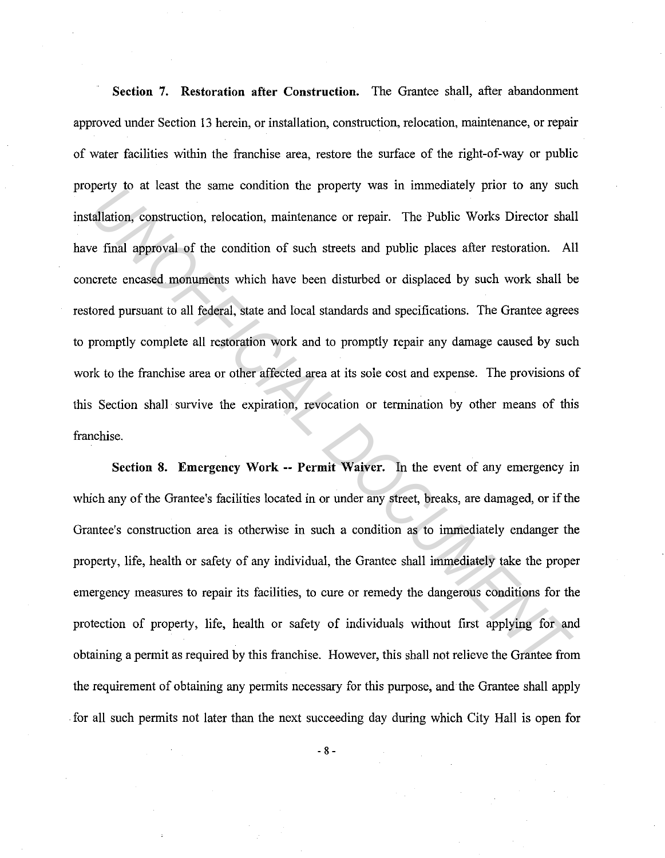**Section 7. Restoration after Construction.** The Grantee shall, after abandonment approved under Section 13 herein, or installation, construction, relocation, maintenance, or repair of water facilities within the franchise area, restore the surface of the right-of-way or public property to at least the same condition the property was in immediately prior to any such installation, construction, relocation, maintenance or repair. The Public Works Director shall have final approval of the condition of such streets and public places after restoration. All concrete encased monuments which have been disturbed or displaced by such work shall be restored pursuant to all federal, state and local standards and specifications. The Grantee agrees to promptly complete all restoration work and to promptly repair any damage caused by such work to the franchise area or other affected area at its sole cost and expense. The provisions of this Section shall survive the expiration, revocation or termination by other means of this franchise. perty to at reast the same containon the property was in miniculately prot to any subtallation, construction, relocation, maintenance or repair. The Public Works Director shale final approval of the condition of such stree

**Section 8. Emergency Work -- Permit Waiver.** In the event of any emergency in which any of the Grantee's facilities located in or under any street, breaks, are damaged, or if the Grantee's construction area is otherwise in such a condition as to immediately endanger the property, life, health or safety of any individual, the Grantee shall immediately take the proper emergency measures to repair its facilities, to cure or remedy the dangerous conditions for the protection of property, life, health or safety of individuals without first applying for and obtaining a permit as required by this franchise. However, this shall not relieve the Grantee from the requirement of obtaining any permits necessary for this purpose, and the Grantee shall apply . for all such permits not later than the next succeeding day during which City Hall is open for

- 8 -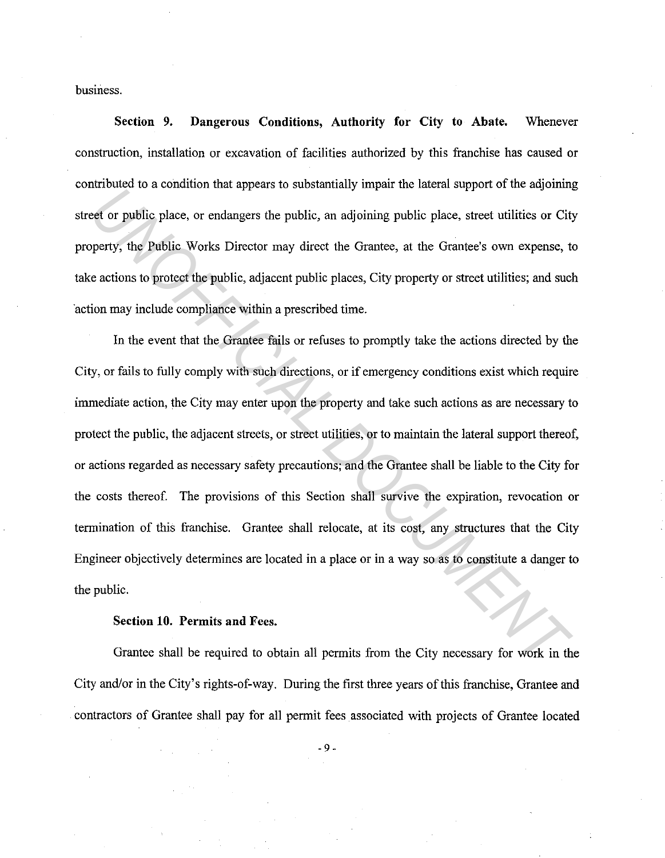business.

**Section 9. Dangerous Conditions, Authority for City to Abate.** Whenever construction, installation or excavation of facilities authorized by this franchise has caused or contributed to a condition that appears to substantially impair the lateral support of the adjoining street or public place, or endangers the public, an adjoining public place, street utilities or City property, the Public Works Director may direct the Grantee, at the Grantee's own expense, to take actions to protect the public, adjacent public places, City property or street utilities; and such ·action may include compliance within a prescribed time.

In the event that the Grantee fails or refuses to promptly take the actions directed by the City, or fails to fully comply with such directions, or if emergency conditions exist which require immediate action, the City may enter upon the property and take such actions as are necessary to protect the public, the adjacent streets, or street utilities, or to maintain the lateral support thereof, or actions regarded as necessary safety precautions; and the Grantee shall be liable to the City for the costs thereof. The provisions of this Section shall survive the expiration, revocation or termination of this franchise. Grantee shall relocate, at its cost, any structures that the City Engineer objectively determines are located in a place or in a way so as to constitute a danger to the public. External of a container and species to substantiany inputs the tastum support of the anguarant<br> *UNITOFFICIAL* Direct or many direct the Grantee, at the Grantee's own expense, to<br>
actions to protect the public, adjacent pu

## **Section 10. Permits and Fees.**

Grantee shall be required to obtain all permits from the City necessary for work in the City and/or in the City's rights-of-way. During the first three years of this franchise, Grantee and contractors of Grantee shall pay for all permit fees associated with projects of Grantee located

- 9 -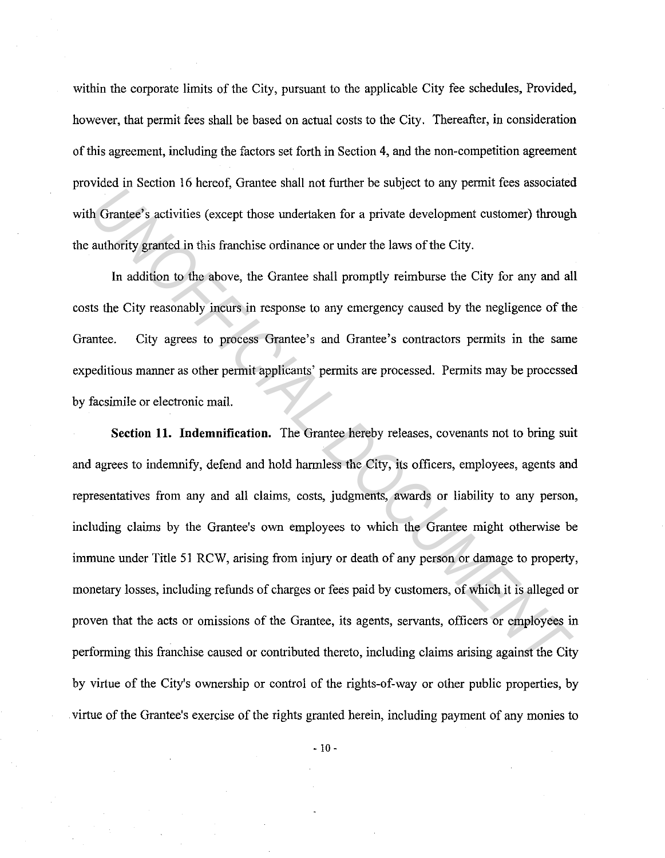within the corporate limits of the City, pursuant to the applicable City fee schedules, Provided, however, that permit fees shall be based on actual costs to the City. Thereafter, in consideration of this agreement, including the factors set forth in Section 4, and the non-competition agreement provided in Section 16 hereof, Grantee shall not further be subject to any permit fees associated with Grantee's activities (except those undertaken for a private development customer) through the authority granted in this franchise ordinance or under the laws of the City.

In addition to the above, the Grantee shall promptly reimburse the City for any and all costs the City reasonably incurs in response to any emergency caused by the negligence of the Grantee. City agrees to process Grantee's and Grantee's contractors permits in the same expeditious manner as other permit applicants' permits are processed. Permits may be processed by facsimile or electronic mail.

**Section 11. Indemnification.** The Grantee hereby releases, covenants not to bring suit and agrees to indemnify, defend and hold harmless the City, its officers, employees, agents and representatives from any and all claims, costs, judgments, awards or liability to any person, including claims by the Grantee's own employees to which the Grantee might otherwise be immune under Title 51 RCW, arising from injury or death of any person or damage to property, monetary losses, including refunds of charges or fees paid by customers, of which it is alleged or proven that the acts or omissions of the Grantee, its agents, servants, officers or employees in performing this franchise caused or contributed thereto, including claims arising against the City by virtue of the City's ownership or control of the rights-of-way or other public properties, by . virtue of the Grantee's exercise of the rights granted herein, including payment of any monies to *Uncertain in interest, calcule start in the tensor in extended to exapt the City frame in the detection in the tensor in the tensor in explore to any parameter (Horse and Grandel) authority granical in this franchise ordi*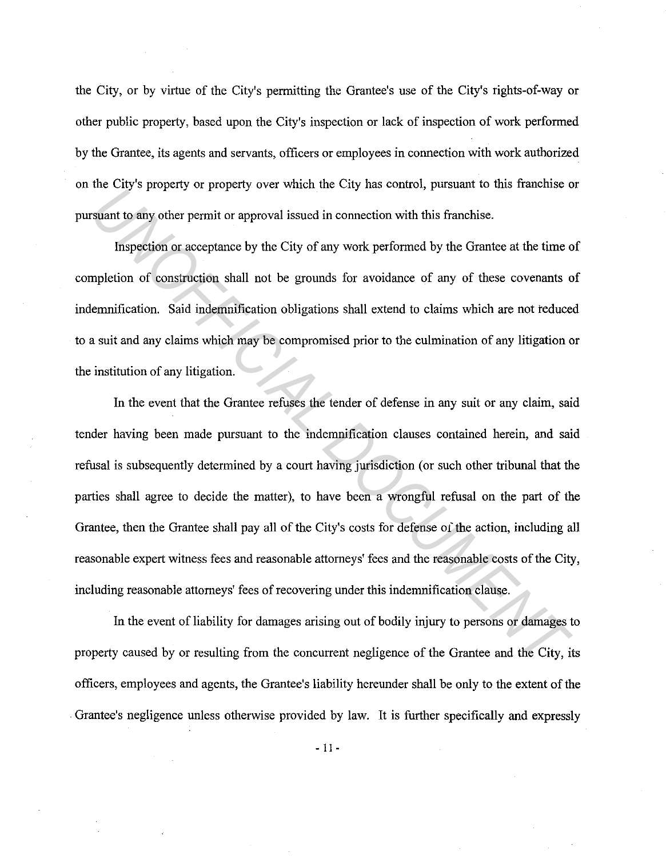the City, or by virtue of the City's permitting the Grantee's use of the City's rights-of-way or other public property, based upon the City's inspection or lack of inspection of work performed by the Grantee, its agents and servants, officers or employees in connection with work authorized on the City's property or property over which the City has control, pursuant to this franchise or pursuant to any other permit or approval issued in connection with this franchise.

Inspection or acceptance by the City of any work performed by the Grantee at the time of completion of construction shall not be grounds for avoidance of any of these covenants of indemnification. Said indemnification obligations shall extend to claims which are not reduced to a suit and any claims which may be compromised prior to the culmination of any litigation or the institution of any litigation.

In the event that the Grantee refuses the tender of defense in any suit or any claim, said tender having been made pursuant to the indemnification clauses contained herein, and said refusal is subsequently determined by a court having jurisdiction (or such other tribunal that the parties shall agree to decide the matter), to have been a wrongful refusal on the part of the Grantee, then the Grantee shall pay all of the City's costs for defense of the action, including all reasonable expert witness fees and reasonable attorneys' fees and the reasonable costs of the City, including reasonable attorneys' fees of recovering under this indemnification clause. *UN* Constraint to any other permit or approval issued in connection with this franchise.<br> **Example 19 and the system of the system of the system of the system of the system of example the system or acceptance by the City** 

In the event of liability for damages arising out of bodily injury to persons or damages to property caused by or resulting from the concurrent negligence of the Grantee and the City, its officers, employees and agents, the Grantee's liability hereunder shall be only to the extent of the . Grantee's negligence unless otherwise provided by law. It is further specifically and expressly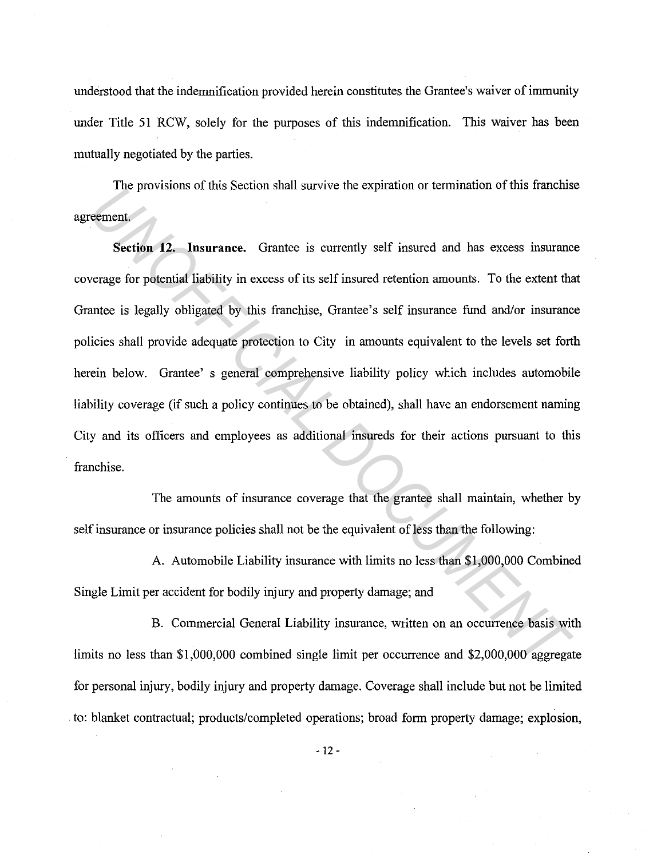understood that the indemnification provided herein constitutes the Grantee's waiver of immunity under Title 51 RCW, solely for the purposes of this indemnification. This waiver has been mutually negotiated by the parties.

The provisions of this Section shall survive the expiration or termination of this franchise agreement.

**Section 12. Insurance.** Grantee is currently self insured and has excess insurance coverage for potential liability in excess of its self insured retention amounts. To the extent that Grantee is legally obligated by this franchise, Grantee's self insurance fund and/or insurance policies shall provide adequate protection to City in amounts equivalent to the levels set forth herein below. Grantee' s general comprehensive liability policy which includes automobile liability coverage (if such a policy continues to be obtained), shall have an endorsement naming City and its officers and employees as additional insureds for their actions pursuant to this franchise. The provisions of any section shan survive the explanation of temmination of this rations<br> **Seement**<br> **Seement**<br> **Seements**<br> **Seements**<br> **Seements**<br> **Seements**<br> **Seements**<br> **Seements**<br> **Seements**<br> **EXECUMENT ISSES AND**<br> **U** 

The amounts of insurance coverage that the grantee shall maintain, whether by self insurance or insurance policies shall not be the equivalent of less than the following:

A. Automobile Liability insurance with limits no less than \$1,000,000 Combined Single Limit per accident for bodily injury and property damage; and

B. Commercial General Liability insurance, written on an occurrence basis with limits no less than \$1,000,000 combined single limit per occurrence and \$2,000,000 aggregate for personal injury, bodily injury and property damage. Coverage shall include but not be limited . to: blanket contractual; products/completed operations; broad form property damage; explosion,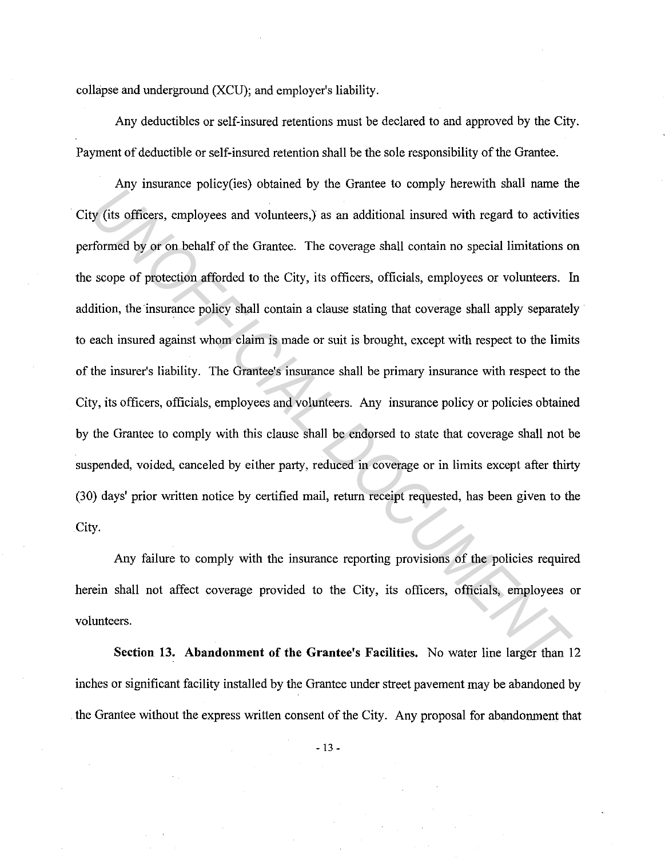collapse and underground (XCU); and employer's liability.

Any deductibles or self-insured retentions must be declared to and approved by the City. Payment of deductible or self-insured retention shall be the sole responsibility of the Grantee.

Any insurance policy(ies) obtained by the Grantee to comply herewith shall name the City (its officers, employees and volunteers,) as an additional insured with regard to activities performed by or on behalf of the Grantee. The coverage shall contain no special limitations on the scope of protection afforded to the City, its officers, officials, employees or volunteers. In addition, the insurance policy shall contain a clause stating that coverage shall apply separately to each insured against whom claim is made or suit is brought, except with respect to the limits of the insurer's liability. The Grantee's insurance shall be primary insurance with respect to the City, its officers, officials, employees and volunteers. Any insurance policy or policies obtained by the Grantee to comply with this clause shall be endorsed to state that coverage shall not be suspended, voided, canceled by either party, reduced in coverage or in limits except after thirty (30) days' prior written notice by certified mail, return receipt requested, has been given to the City. *UN* instance pointy cools contained by the chance to stangly increment and hand take to the coordinate points (tis officers, employees and volunteers) as an additional insured with regard to activities of formulation of t

Any failure to comply with the insurance reporting provisions of the policies required herein shall not affect coverage provided to the City, its officers, officials, employees or volunteers.

**Section 13. Abandonment of the Grantee's Facilities.** No water line larger than 12 inches or significant facility installed by the Grantee under street pavement may be abandoned by . the Grantee without the express written consent of the City. Any proposal for abandonment that

- 13 -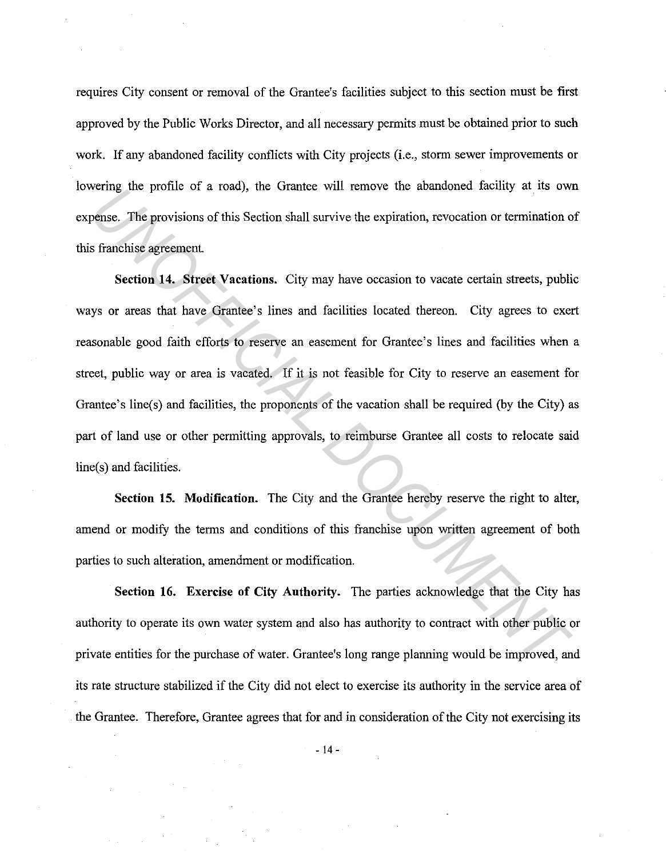requires City consent or removal of the Grantee's facilities subject to this section must be first approved by the Public Works Director, and all necessary permits must be obtained prior to such work. If any abandoned facility conflicts with City projects (i.e., storm sewer improvements or lowering the profile of a road), the Grantee will remove the abandoned facility at its own expense. The provisions of this Section shall survive the expiration, revocation or termination of this franchise agreement.

**Section 14. Street Vacations.** City may have occasion to vacate certain streets, public ways or areas that have Grantee's lines and facilities located thereon. City agrees to exert reasonable good faith efforts to reserve an easement for Grantee's lines and facilities when a street, public way or area is vacated. If it is not feasible for City to reserve an easement for Grantee's line(s) and facilities, the proponents of the vacation shall be required (by the City) as part of land use or other permitting approvals, to reimburse Grantee all costs to relocate said line(s) and facilities. Final diversions of this Section shall survive the expiration, revocation or termination of finalness agreement.<br> **S** franchise agreement.<br> **Section 14. Street Vacations.** City may have occasion to vacate certain streets,

**Section 15. Modification.** The City and the Grantee hereby reserve the right to alter, amend or modify the terms and conditions of this franchise upon written agreement of both parties to such alteration, amendment or modification.

**Section 16. Exercise of City Authority.** The parties acknowledge that the City has authority to operate its own water system and also has authority to contract with other public or private entities for the purchase of water. Grantee's long range planning would be improved, and its rate structure stabilized if the City did not elect to exercise its authority in the service area of the Grantee. Therefore, Grantee agrees that for and in consideration of the City not exercising its

 $-14 -$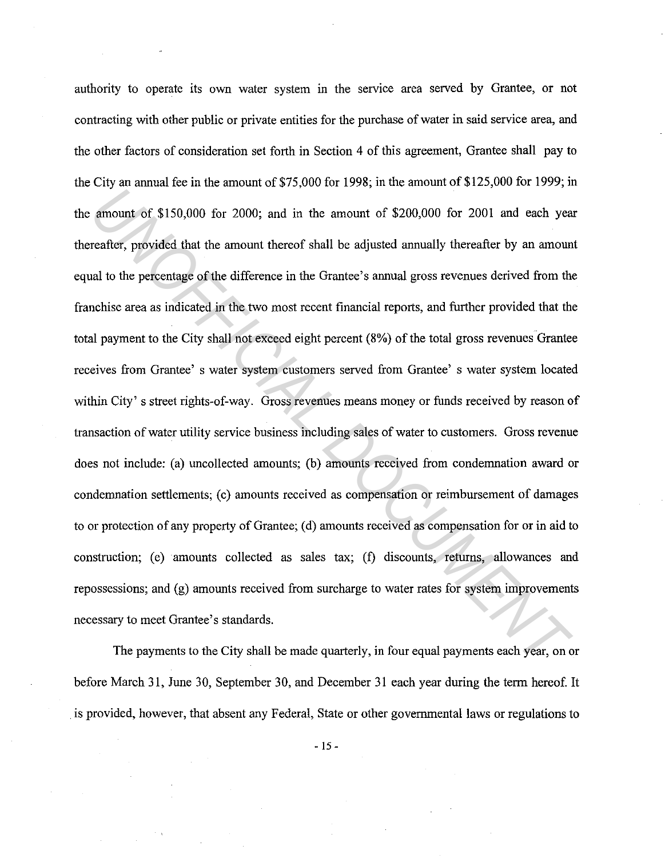authority to operate its own water system in the service area served by Grantee, or not contracting with other public or private entities for the purchase of water in said service area, and the other factors of consideration set forth in Section 4 of this agreement, Grantee shall pay to the City an annual fee in the amount of  $$75,000$  for 1998; in the amount of  $$125,000$  for 1999; in the amount of \$150,000 for 2000; and in the amount of \$200,000 for 2001 and each year thereafter, provided that the amount thereof shall be adjusted annually thereafter by an amount equal to the percentage of the difference in the Grantee's annual gross revenues derived from the franchise area as indicated in the two most recent financial reports, and further provided that the total payment to the City shall not exceed eight percent (8%) of the total gross revenues Grantee receives from Grantee' s water system customers served from Grantee' s water system located within City' s street rights-of-way. Gross revenues means money or funds received by reason of transaction of water utility service business including sales of water to customers. Gross revenue does not include: (a) uncollected amounts; (b) amounts received from condemnation award or condemnation settlements; (c) amounts received as compensation or reimbursement of damages to or protection of any property of Grantee; (d) amounts received as compensation for or in aid to construction; (e) amounts collected as sales tax; (f) discounts, returns, allowances and repossessions; and (g) amounts received from surcharge to water rates for system improvements necessary to meet Grantee's standards. *Unional of \$150,000* for 2000; and in the amount of \$200,000 for 2001 and each year<br>areafter, provided that the amount thereof shall be adjusted annually thereafter by an amound<br>al to the percentage of the difference in t

The payments to the City shall be made quarterly, in four equal payments each year, on or before March 31, June 30, September 30, and December 31 each year during the term hereof. It . is provided, however, that absent any Federal, State or other governmental laws or regulations to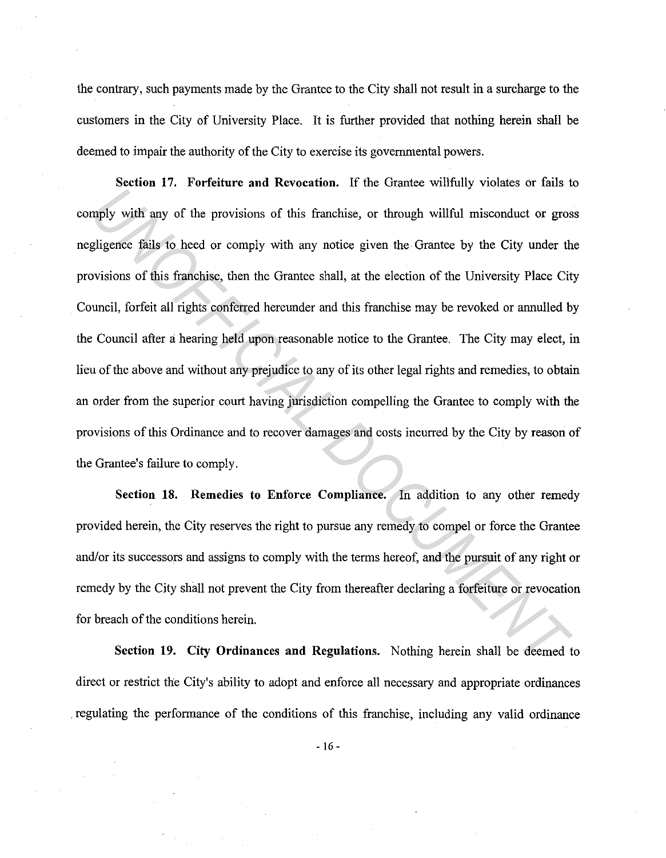the contrary, such payments made by the Grantee to the City shall not result in a surcharge to the customers in the City of University Place. It is further provided that nothing herein shall be deemed to impair the authority of the City to exercise its governmental powers.

**Section 17. Forfeiture and Revocation.** If the Grantee willfully violates or fails to comply with any of the provisions of this franchise, or through willful misconduct or gross negligence fails to heed or comply with any notice given the Grantee by the City under the provisions of this franchise, then the Grantee shall, at the election of the University Place City Council, forfeit all rights conferred hereunder and this franchise may be revoked or annulled by the Council after a hearing held upon reasonable notice to the Grantee. The City may elect, in lieu of the above and without any prejudice to any of its other legal rights and remedies, to obtain an order from the superior court having jurisdiction compelling the Grantee to comply with the provisions of this Ordinance and to recover damages and costs incurred by the City by reason of the Grantee's failure to comply. **Example 18 The Universe and Solution** of the Transmit Product of growing in the University with any of the provisions of this franchise, or through willful misconduct or gros gligence fails to heed or comply with any noti

**Section 18. Remedies to Enforce Compliance.** In addition to any other remedy provided herein, the City reserves the right to pursue any remedy to compel or force the Grantee and/or its successors and assigns to comply with the terms hereof, and the pursuit of any right or remedy by the City shall not prevent the City from thereafter declaring a forfeiture or revocation for breach of the conditions herein.

**Section 19. City Ordinances and Regulations.** Nothing herein shall be deemed to direct or restrict the City's ability to adopt and enforce all necessary and appropriate ordinances . regulating the performance of the conditions of this franchise, including any valid ordinance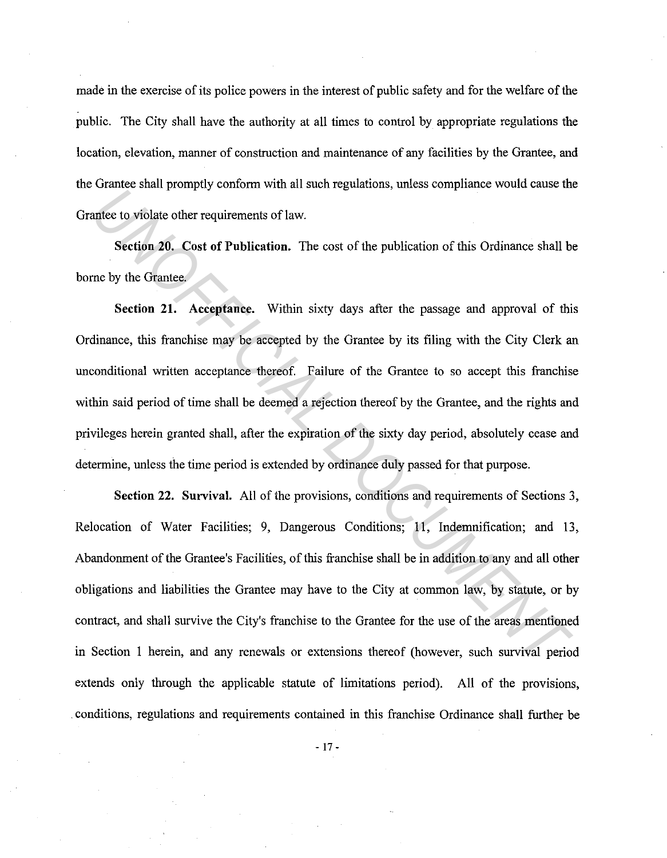made in the exercise of its police powers in the interest of public safety and for the welfare of the public. The City shall have the authority at all times to control by appropriate regulations the location, elevation, manner of construction and maintenance of any facilities by the Grantee, and the Grantee shall promptly conform with all such regulations, unless compliance would cause the Grantee to violate other requirements of law.

**Section 20. Cost of Publication.** The cost of the publication of this Ordinance shall be borne by the Grantee.

**Section 21. Acceptance.** Within sixty days after the passage and approval of this Ordinance, this franchise may be accepted by the Grantee by its filing with the City Clerk an unconditional written acceptance thereof. Failure of the Grantee to so accept this franchise within said period of time shall be deemed a rejection thereof by the Grantee, and the rights and privileges herein granted shall, after the expiration of the sixty day period, absolutely cease and determine, unless the time period is extended by ordinance duly passed for that purpose.

**Section 22. Survival.** All of the provisions, conditions and requirements of Sections 3, Relocation of Water Facilities; 9, Dangerous Conditions; 11, Indemnification; and 13, Abandonment of the Grantee's Facilities, of this franchise shall be in addition to any and all other obligations and liabilities the Grantee may have to the City at common law, by statute, or by contract, and shall survive the City's franchise to the Grantee for the use of the areas mentioned in Section I herein, and any renewals or extensions thereof (however, such survival period extends only through the applicable statute of limitations period). All of the provisions, . conditions, regulations and requirements contained in this franchise Ordinance shall further be *United state protipley somows with at state to set of the publication of this Ordinance shall b*<br>**Section 20.** Cost of Publication. The cost of the publication of this Ordinance shall b<br>me by the Grantee.<br>**Section 21.** Ac

- 17 -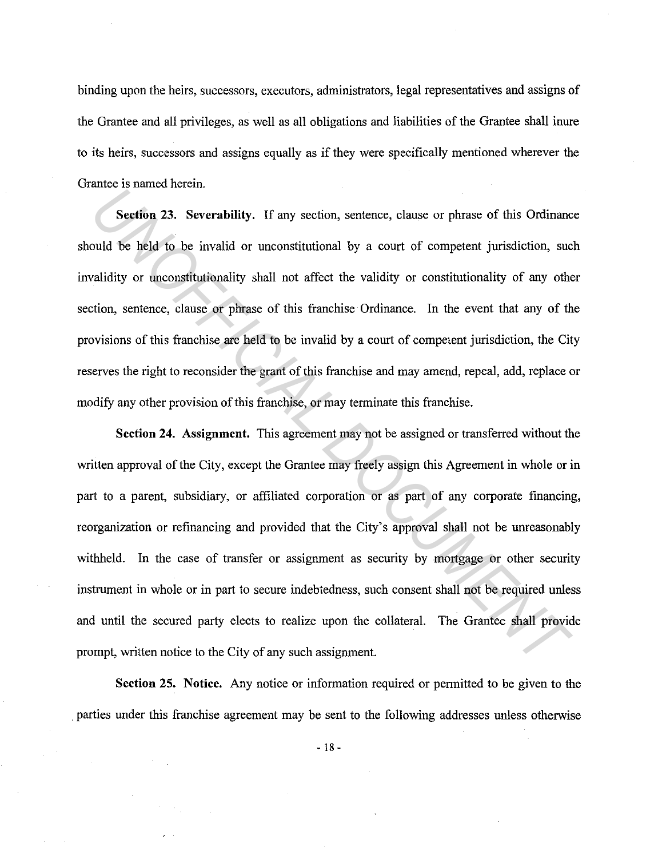binding upon the heirs, successors, executors, administrators, legal representatives and assigns of the Grantee and all privileges, as well as all obligations and liabilities of the Grantee shall inure to its heirs, successors and assigns equally as if they were specifically mentioned wherever the Grantee is named herein.

**Section** 23. **Severability.** If any section, sentence, clause or phrase of this Ordinance should be held to be invalid or unconstitutional by a court of competent jurisdiction, such invalidity or unconstitutionality shall not affect the validity or constitutionality of any other section, sentence, clause or phrase of this franchise Ordinance. In the event that any of the provisions of this franchise are held to be invalid by a court of competent jurisdiction, the City reserves the right to reconsider the grant of this franchise and may amend, repeal, add, replace or modify any other provision of this franchise, or may terminate this franchise.

**Section 24. Assignment.** This agreement may not be assigned or transferred without the written approval of the City, except the Grantee may freely assign this Agreement in whole or in part to a parent, subsidiary, or affiliated corporation or as part of any corporate financing, reorganization or refinancing and provided that the City's approval shall not be unreasonably withheld. In the case of transfer or assignment as security by mortgage or other security instrument in whole or in part to secure indebtedness, such consent shall not be required unless and until the secured party elects to realize upon the collateral. The Grantee shall provide prompt, written notice to the City of any such assignment. **Example to manuscal resourance in Section** 23. Severability. If any section, sentence, clause or phrase of this Ordinance and the held to be invalid or unconstitutional by a court of competent jurisdiction, sucalidity or

**Section 25. Notice.** Any notice or information required or permitted to be given to the . parties under this franchise agreement may be sent to the following addresses unless otherwise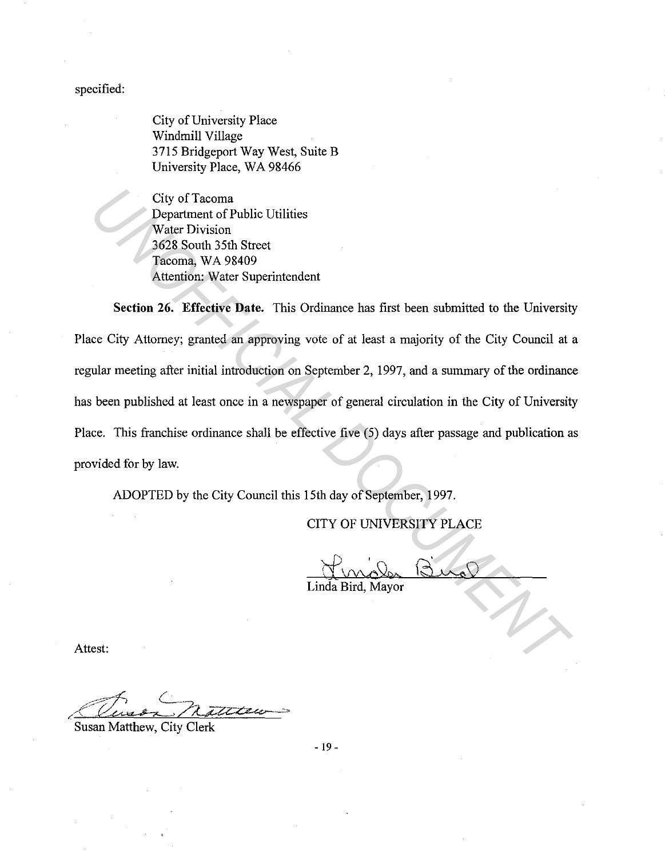specified:

City of University Place Windmill Village 3715 Bridgeport Way West, Suite B University Place, WA 98466

City of Tacoma Department of Public Utilities Water Division 3628 South 35th Street Tacoma, WA 98409 Attention: Water Superintendent

**Section 26. Effective Date.** This Ordinance has first been submitted to the University Place City Attorney; granted an approving vote of at least a majority of the City Council at a regular meeting after initial introduction on September 2, 1997, and a summary of the ordinance has been published at least once in a newspaper of general circulation in the City of University Place. This franchise ordinance shall be effective five (5) days after passage and publication as provided for by law. City of Tacoma<br>
Department of Public Ufilities<br>
Water Division<br>
Yack South 35th Street<br>
Tacoma, WA 98409<br>
Altention: WA 98409<br>
Altention: WA 98409<br>
Altention: WA 98409<br>
Altention: Water Superintcrudent<br>
Section 26. Effecti

ADOPTED by the City Council this 15th day of September, 1997.

CITY OF UNIVERSITY PLACE

Linda Bird, Mayor

Attest:

Thursday matters

Susan Matthew, City Clerk

- 19 -